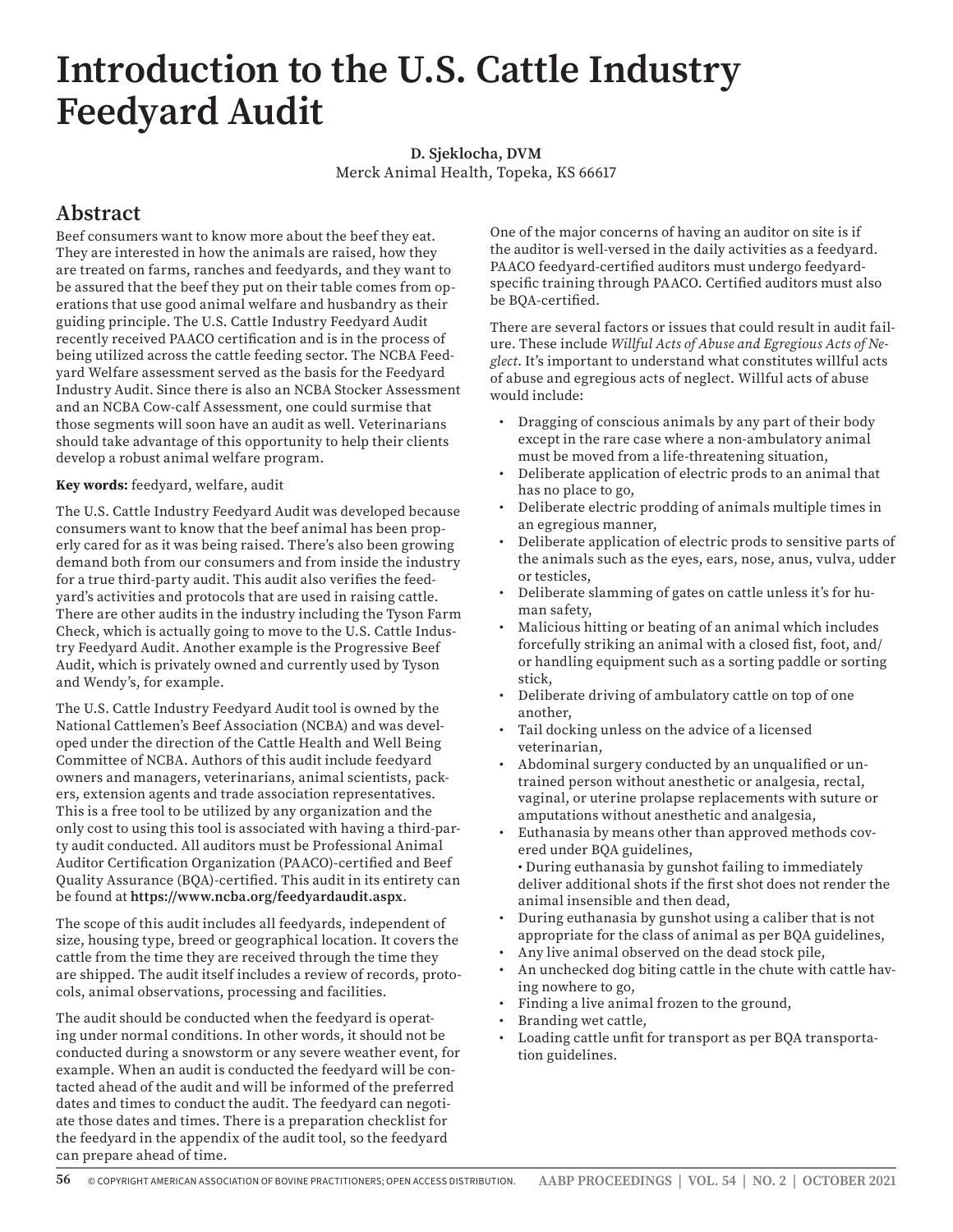## **Introduction to the U.S. Cattle Industry Feedyard Audit**

**D. Sjeklocha, DVM** Merck Animal Health, Topeka, KS 66617

## **Abstract**

Beef consumers want to know more about the beef they eat. They are interested in how the animals are raised, how they are treated on farms, ranches and feedyards, and they want to be assured that the beef they put on their table comes from operations that use good animal welfare and husbandry as their guiding principle. The U.S. Cattle Industry Feedyard Audit recently received PAACO certification and is in the process of being utilized across the cattle feeding sector. The NCBA Feedyard Welfare assessment served as the basis for the Feedyard Industry Audit. Since there is also an NCBA Stocker Assessment and an NCBA Cow-calf Assessment, one could surmise that those segments will soon have an audit as well. Veterinarians should take advantage of this opportunity to help their clients develop a robust animal welfare program.

## **Key words:** feedyard, welfare, audit

The U.S. Cattle Industry Feedyard Audit was developed because consumers want to know that the beef animal has been properly cared for as it was being raised. There's also been growing demand both from our consumers and from inside the industry for a true third-party audit. This audit also verifies the feedyard's activities and protocols that are used in raising cattle. There are other audits in the industry including the Tyson Farm Check, which is actually going to move to the U.S. Cattle Industry Feedyard Audit. Another example is the Progressive Beef Audit, which is privately owned and currently used by Tyson and Wendy's, for example.

The U.S. Cattle Industry Feedyard Audit tool is owned by the National Cattlemen's Beef Association (NCBA) and was developed under the direction of the Cattle Health and Well Being Committee of NCBA. Authors of this audit include feedyard owners and managers, veterinarians, animal scientists, packers, extension agents and trade association representatives. This is a free tool to be utilized by any organization and the only cost to using this tool is associated with having a third-party audit conducted. All auditors must be Professional Animal Auditor Certification Organization (PAACO)-certified and Beef Quality Assurance (BQA)-certified. This audit in its entirety can be found at **https://www.ncba.org/feedyardaudit.aspx**.

The scope of this audit includes all feedyards, independent of size, housing type, breed or geographical location. It covers the cattle from the time they are received through the time they are shipped. The audit itself includes a review of records, protocols, animal observations, processing and facilities.

The audit should be conducted when the feedyard is operating under normal conditions. In other words, it should not be conducted during a snowstorm or any severe weather event, for example. When an audit is conducted the feedyard will be contacted ahead of the audit and will be informed of the preferred dates and times to conduct the audit. The feedyard can negotiate those dates and times. There is a preparation checklist for the feedyard in the appendix of the audit tool, so the feedyard can prepare ahead of time.

One of the major concerns of having an auditor on site is if the auditor is well-versed in the daily activities as a feedyard. PAACO feedyard-certified auditors must undergo feedyardspecific training through PAACO. Certified auditors must also be BQA-certified.

There are several factors or issues that could result in audit failure. These include *Willful Acts of Abuse and Egregious Acts of Neglect*. It's important to understand what constitutes willful acts of abuse and egregious acts of neglect. Willful acts of abuse would include:

- Dragging of conscious animals by any part of their body except in the rare case where a non-ambulatory animal must be moved from a life-threatening situation,
- Deliberate application of electric prods to an animal that has no place to go,
- Deliberate electric prodding of animals multiple times in an egregious manner,
- Deliberate application of electric prods to sensitive parts of the animals such as the eyes, ears, nose, anus, vulva, udder or testicles,
- Deliberate slamming of gates on cattle unless it's for human safety,
- Malicious hitting or beating of an animal which includes forcefully striking an animal with a closed fist, foot, and/ or handling equipment such as a sorting paddle or sorting stick,
- Deliberate driving of ambulatory cattle on top of one another,
- Tail docking unless on the advice of a licensed veterinarian,
- Abdominal surgery conducted by an unqualified or untrained person without anesthetic or analgesia, rectal, vaginal, or uterine prolapse replacements with suture or amputations without anesthetic and analgesia,
- Euthanasia by means other than approved methods covered under BQA guidelines,
- During euthanasia by gunshot failing to immediately deliver additional shots if the first shot does not render the animal insensible and then dead,
- During euthanasia by gunshot using a caliber that is not appropriate for the class of animal as per BQA guidelines,
- Any live animal observed on the dead stock pile,
- An unchecked dog biting cattle in the chute with cattle having nowhere to go,
- Finding a live animal frozen to the ground,
- Branding wet cattle,
- Loading cattle unfit for transport as per BQA transportation guidelines.